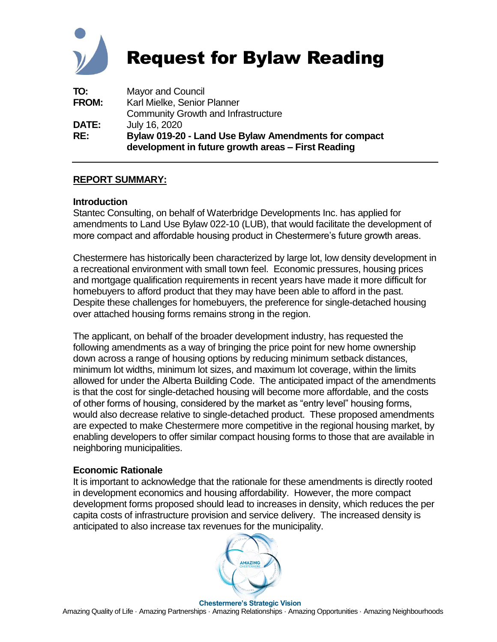

# Request for Bylaw Reading

| TO:          | <b>Mayor and Council</b>                                                                                   |
|--------------|------------------------------------------------------------------------------------------------------------|
| <b>FROM:</b> | Karl Mielke, Senior Planner                                                                                |
|              | <b>Community Growth and Infrastructure</b>                                                                 |
| <b>DATE:</b> | July 16, 2020                                                                                              |
| RE:          | Bylaw 019-20 - Land Use Bylaw Amendments for compact<br>development in future growth areas – First Reading |

# **REPORT SUMMARY:**

#### **Introduction**

Stantec Consulting, on behalf of Waterbridge Developments Inc. has applied for amendments to Land Use Bylaw 022-10 (LUB), that would facilitate the development of more compact and affordable housing product in Chestermere's future growth areas.

Chestermere has historically been characterized by large lot, low density development in a recreational environment with small town feel. Economic pressures, housing prices and mortgage qualification requirements in recent years have made it more difficult for homebuyers to afford product that they may have been able to afford in the past. Despite these challenges for homebuyers, the preference for single-detached housing over attached housing forms remains strong in the region.

The applicant, on behalf of the broader development industry, has requested the following amendments as a way of bringing the price point for new home ownership down across a range of housing options by reducing minimum setback distances, minimum lot widths, minimum lot sizes, and maximum lot coverage, within the limits allowed for under the Alberta Building Code. The anticipated impact of the amendments is that the cost for single-detached housing will become more affordable, and the costs of other forms of housing, considered by the market as "entry level" housing forms, would also decrease relative to single-detached product. These proposed amendments are expected to make Chestermere more competitive in the regional housing market, by enabling developers to offer similar compact housing forms to those that are available in neighboring municipalities.

## **Economic Rationale**

It is important to acknowledge that the rationale for these amendments is directly rooted in development economics and housing affordability. However, the more compact development forms proposed should lead to increases in density, which reduces the per capita costs of infrastructure provision and service delivery. The increased density is anticipated to also increase tax revenues for the municipality.

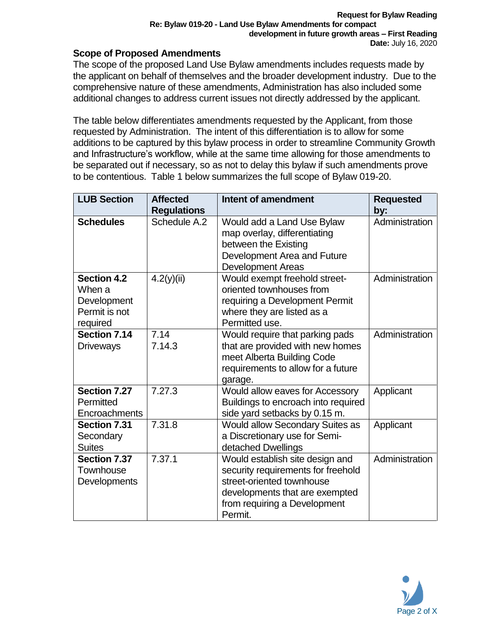# **Scope of Proposed Amendments**

The scope of the proposed Land Use Bylaw amendments includes requests made by the applicant on behalf of themselves and the broader development industry. Due to the comprehensive nature of these amendments, Administration has also included some additional changes to address current issues not directly addressed by the applicant.

The table below differentiates amendments requested by the Applicant, from those requested by Administration. The intent of this differentiation is to allow for some additions to be captured by this bylaw process in order to streamline Community Growth and Infrastructure's workflow, while at the same time allowing for those amendments to be separated out if necessary, so as not to delay this bylaw if such amendments prove to be contentious. Table 1 below summarizes the full scope of Bylaw 019-20.

| <b>LUB Section</b>                                                       | <b>Affected</b><br><b>Regulations</b> | Intent of amendment                                                                                                                                                             | <b>Requested</b><br>by: |
|--------------------------------------------------------------------------|---------------------------------------|---------------------------------------------------------------------------------------------------------------------------------------------------------------------------------|-------------------------|
| <b>Schedules</b>                                                         | Schedule A.2                          | Would add a Land Use Bylaw<br>map overlay, differentiating<br>between the Existing<br>Development Area and Future<br>Development Areas                                          | Administration          |
| <b>Section 4.2</b><br>When a<br>Development<br>Permit is not<br>required | 4.2(y)(ii)                            | Would exempt freehold street-<br>oriented townhouses from<br>requiring a Development Permit<br>where they are listed as a<br>Permitted use.                                     | Administration          |
| <b>Section 7.14</b><br><b>Driveways</b>                                  | 7.14<br>7.14.3                        | Would require that parking pads<br>that are provided with new homes<br>meet Alberta Building Code<br>requirements to allow for a future<br>garage.                              | Administration          |
| <b>Section 7.27</b><br>Permitted<br>Encroachments                        | 7.27.3                                | Would allow eaves for Accessory<br>Buildings to encroach into required<br>side yard setbacks by 0.15 m.                                                                         | Applicant               |
| Section 7.31<br>Secondary<br><b>Suites</b>                               | 7.31.8                                | Would allow Secondary Suites as<br>a Discretionary use for Semi-<br>detached Dwellings                                                                                          | Applicant               |
| Section 7.37<br>Townhouse<br><b>Developments</b>                         | 7.37.1                                | Would establish site design and<br>security requirements for freehold<br>street-oriented townhouse<br>developments that are exempted<br>from requiring a Development<br>Permit. | Administration          |

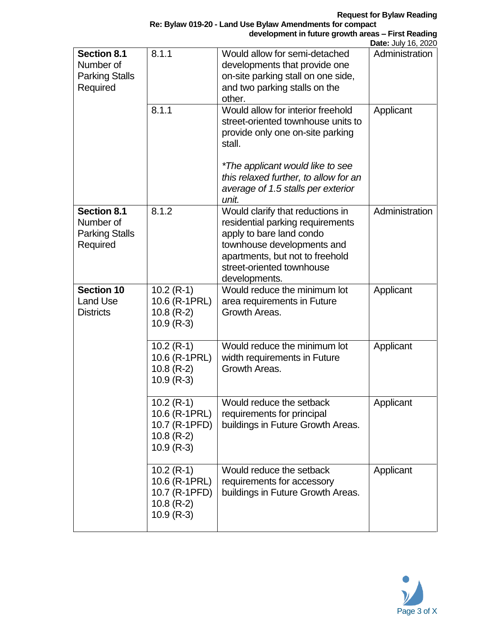**Re: Bylaw 019-20 - Land Use Bylaw Amendments for compact development in future growth areas – First Reading**

|                                                                      |                                                                                |                                                                                                                                                                                                                 | Date: July 16, 2020 |
|----------------------------------------------------------------------|--------------------------------------------------------------------------------|-----------------------------------------------------------------------------------------------------------------------------------------------------------------------------------------------------------------|---------------------|
| <b>Section 8.1</b><br>Number of<br><b>Parking Stalls</b><br>Required | 8.1.1                                                                          | Would allow for semi-detached<br>developments that provide one<br>on-site parking stall on one side,<br>and two parking stalls on the<br>other.                                                                 | Administration      |
|                                                                      | 8.1.1                                                                          | Would allow for interior freehold<br>street-oriented townhouse units to<br>provide only one on-site parking<br>stall.                                                                                           | Applicant           |
|                                                                      |                                                                                | *The applicant would like to see<br>this relaxed further, to allow for an<br>average of 1.5 stalls per exterior<br>unit.                                                                                        |                     |
| <b>Section 8.1</b><br>Number of<br><b>Parking Stalls</b><br>Required | 8.1.2                                                                          | Would clarify that reductions in<br>residential parking requirements<br>apply to bare land condo<br>townhouse developments and<br>apartments, but not to freehold<br>street-oriented townhouse<br>developments. | Administration      |
| <b>Section 10</b><br><b>Land Use</b><br><b>Districts</b>             | $10.2(R-1)$<br>10.6 (R-1PRL)<br>$10.8$ (R-2)<br>$10.9$ (R-3)                   | Would reduce the minimum lot<br>area requirements in Future<br>Growth Areas.                                                                                                                                    | Applicant           |
|                                                                      | $10.2$ (R-1)<br>10.6 (R-1PRL)<br>$10.8$ (R-2)<br>$10.9$ (R-3)                  | Would reduce the minimum lot<br>width requirements in Future<br>Growth Areas.                                                                                                                                   | Applicant           |
|                                                                      | $10.2$ (R-1)<br>10.6 (R-1PRL)<br>10.7 (R-1PFD)<br>$10.8$ (R-2)<br>$10.9$ (R-3) | Would reduce the setback<br>requirements for principal<br>buildings in Future Growth Areas.                                                                                                                     | Applicant           |
|                                                                      | $10.2$ (R-1)<br>10.6 (R-1PRL)<br>10.7 (R-1PFD)<br>$10.8$ (R-2)<br>$10.9$ (R-3) | Would reduce the setback<br>requirements for accessory<br>buildings in Future Growth Areas.                                                                                                                     | Applicant           |

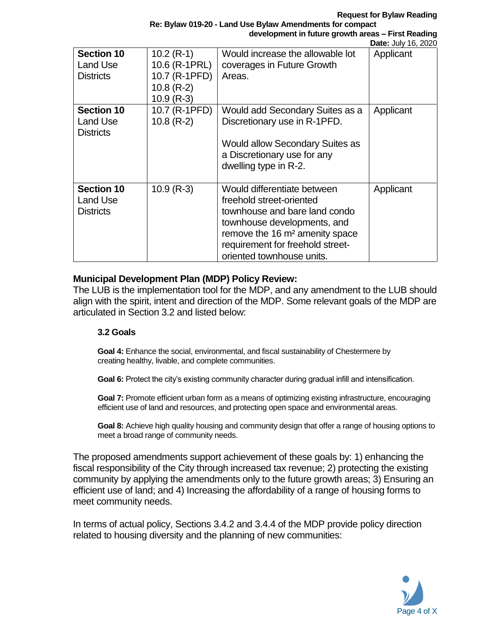**Request for Bylaw Reading**

**Re: Bylaw 019-20 - Land Use Bylaw Amendments for compact development in future growth areas – First Reading**

|                                                   |                                                                                |                                                                                                                                                                                                                                        | Date: July 16, 2020 |
|---------------------------------------------------|--------------------------------------------------------------------------------|----------------------------------------------------------------------------------------------------------------------------------------------------------------------------------------------------------------------------------------|---------------------|
| <b>Section 10</b><br>Land Use<br><b>Districts</b> | $10.2$ (R-1)<br>10.6 (R-1PRL)<br>10.7 (R-1PFD)<br>$10.8$ (R-2)<br>$10.9$ (R-3) | Would increase the allowable lot<br>coverages in Future Growth<br>Areas.                                                                                                                                                               | Applicant           |
| <b>Section 10</b><br>Land Use<br><b>Districts</b> | 10.7 (R-1PFD)<br>$10.8$ (R-2)                                                  | Would add Secondary Suites as a<br>Discretionary use in R-1PFD.<br><b>Would allow Secondary Suites as</b><br>a Discretionary use for any<br>dwelling type in R-2.                                                                      | Applicant           |
| <b>Section 10</b><br>Land Use<br><b>Districts</b> | $10.9$ (R-3)                                                                   | Would differentiate between<br>freehold street-oriented<br>townhouse and bare land condo<br>townhouse developments, and<br>remove the 16 m <sup>2</sup> amenity space<br>requirement for freehold street-<br>oriented townhouse units. | Applicant           |

#### **Municipal Development Plan (MDP) Policy Review:**

The LUB is the implementation tool for the MDP, and any amendment to the LUB should align with the spirit, intent and direction of the MDP. Some relevant goals of the MDP are articulated in Section 3.2 and listed below:

#### **3.2 Goals**

**Goal 4:** Enhance the social, environmental, and fiscal sustainability of Chestermere by creating healthy, livable, and complete communities.

**Goal 6:** Protect the city's existing community character during gradual infill and intensification.

**Goal 7:** Promote efficient urban form as a means of optimizing existing infrastructure, encouraging efficient use of land and resources, and protecting open space and environmental areas.

**Goal 8:** Achieve high quality housing and community design that offer a range of housing options to meet a broad range of community needs.

The proposed amendments support achievement of these goals by: 1) enhancing the fiscal responsibility of the City through increased tax revenue; 2) protecting the existing community by applying the amendments only to the future growth areas; 3) Ensuring an efficient use of land; and 4) Increasing the affordability of a range of housing forms to meet community needs.

In terms of actual policy, Sections 3.4.2 and 3.4.4 of the MDP provide policy direction related to housing diversity and the planning of new communities:

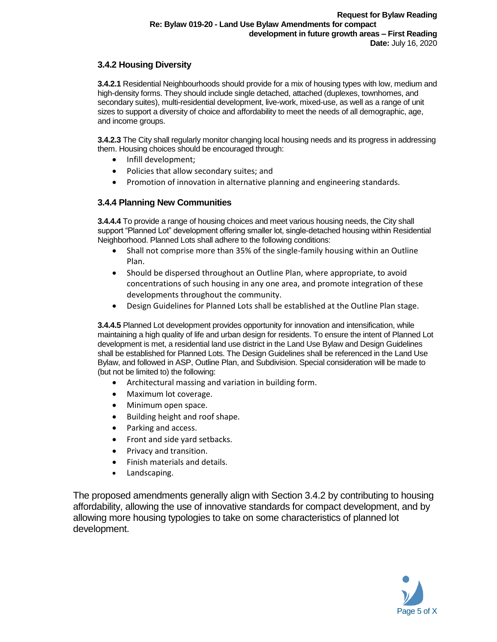#### **3.4.2 Housing Diversity**

**3.4.2.1** Residential Neighbourhoods should provide for a mix of housing types with low, medium and high-density forms. They should include single detached, attached (duplexes, townhomes, and secondary suites), multi-residential development, live-work, mixed-use, as well as a range of unit sizes to support a diversity of choice and affordability to meet the needs of all demographic, age, and income groups.

**3.4.2.3** The City shall regularly monitor changing local housing needs and its progress in addressing them. Housing choices should be encouraged through:

- Infill development;
- Policies that allow secondary suites; and
- Promotion of innovation in alternative planning and engineering standards.

#### **3.4.4 Planning New Communities**

**3.4.4.4** To provide a range of housing choices and meet various housing needs, the City shall support "Planned Lot" development offering smaller lot, single-detached housing within Residential Neighborhood. Planned Lots shall adhere to the following conditions:

- Shall not comprise more than 35% of the single-family housing within an Outline Plan.
- Should be dispersed throughout an Outline Plan, where appropriate, to avoid concentrations of such housing in any one area, and promote integration of these developments throughout the community.
- Design Guidelines for Planned Lots shall be established at the Outline Plan stage.

**3.4.4.5** Planned Lot development provides opportunity for innovation and intensification, while maintaining a high quality of life and urban design for residents. To ensure the intent of Planned Lot development is met, a residential land use district in the Land Use Bylaw and Design Guidelines shall be established for Planned Lots. The Design Guidelines shall be referenced in the Land Use Bylaw, and followed in ASP, Outline Plan, and Subdivision. Special consideration will be made to (but not be limited to) the following:

- Architectural massing and variation in building form.
- Maximum lot coverage.
- Minimum open space.
- Building height and roof shape.
- Parking and access.
- Front and side yard setbacks.
- Privacy and transition.
- Finish materials and details.
- Landscaping.

The proposed amendments generally align with Section 3.4.2 by contributing to housing affordability, allowing the use of innovative standards for compact development, and by allowing more housing typologies to take on some characteristics of planned lot development.

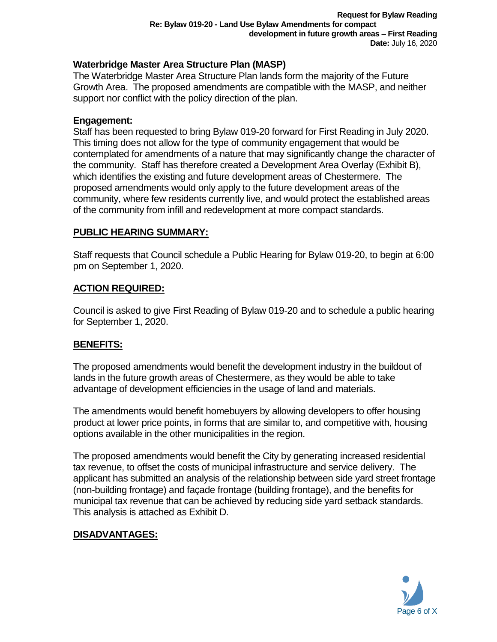# **Waterbridge Master Area Structure Plan (MASP)**

The Waterbridge Master Area Structure Plan lands form the majority of the Future Growth Area. The proposed amendments are compatible with the MASP, and neither support nor conflict with the policy direction of the plan.

#### **Engagement:**

Staff has been requested to bring Bylaw 019-20 forward for First Reading in July 2020. This timing does not allow for the type of community engagement that would be contemplated for amendments of a nature that may significantly change the character of the community. Staff has therefore created a Development Area Overlay (Exhibit B), which identifies the existing and future development areas of Chestermere. The proposed amendments would only apply to the future development areas of the community, where few residents currently live, and would protect the established areas of the community from infill and redevelopment at more compact standards.

## **PUBLIC HEARING SUMMARY:**

Staff requests that Council schedule a Public Hearing for Bylaw 019-20, to begin at 6:00 pm on September 1, 2020.

## **ACTION REQUIRED:**

Council is asked to give First Reading of Bylaw 019-20 and to schedule a public hearing for September 1, 2020.

## **BENEFITS:**

The proposed amendments would benefit the development industry in the buildout of lands in the future growth areas of Chestermere, as they would be able to take advantage of development efficiencies in the usage of land and materials.

The amendments would benefit homebuyers by allowing developers to offer housing product at lower price points, in forms that are similar to, and competitive with, housing options available in the other municipalities in the region.

The proposed amendments would benefit the City by generating increased residential tax revenue, to offset the costs of municipal infrastructure and service delivery. The applicant has submitted an analysis of the relationship between side yard street frontage (non-building frontage) and façade frontage (building frontage), and the benefits for municipal tax revenue that can be achieved by reducing side yard setback standards. This analysis is attached as Exhibit D.

## **DISADVANTAGES:**

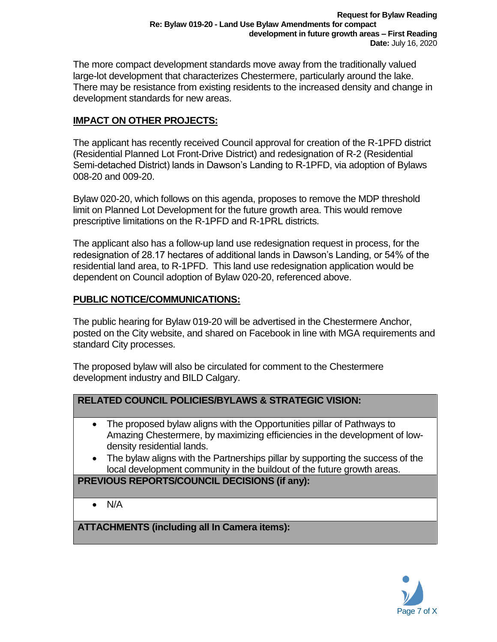The more compact development standards move away from the traditionally valued large-lot development that characterizes Chestermere, particularly around the lake. There may be resistance from existing residents to the increased density and change in development standards for new areas.

# **IMPACT ON OTHER PROJECTS:**

The applicant has recently received Council approval for creation of the R-1PFD district (Residential Planned Lot Front-Drive District) and redesignation of R-2 (Residential Semi-detached District) lands in Dawson's Landing to R-1PFD, via adoption of Bylaws 008-20 and 009-20.

Bylaw 020-20, which follows on this agenda, proposes to remove the MDP threshold limit on Planned Lot Development for the future growth area. This would remove prescriptive limitations on the R-1PFD and R-1PRL districts.

The applicant also has a follow-up land use redesignation request in process, for the redesignation of 28.17 hectares of additional lands in Dawson's Landing, or 54% of the residential land area, to R-1PFD. This land use redesignation application would be dependent on Council adoption of Bylaw 020-20, referenced above.

# **PUBLIC NOTICE/COMMUNICATIONS:**

The public hearing for Bylaw 019-20 will be advertised in the Chestermere Anchor, posted on the City website, and shared on Facebook in line with MGA requirements and standard City processes.

The proposed bylaw will also be circulated for comment to the Chestermere development industry and BILD Calgary.

## **RELATED COUNCIL POLICIES/BYLAWS & STRATEGIC VISION:**

- The proposed bylaw aligns with the Opportunities pillar of Pathways to Amazing Chestermere, by maximizing efficiencies in the development of lowdensity residential lands.
- The bylaw aligns with the Partnerships pillar by supporting the success of the local development community in the buildout of the future growth areas.

# **PREVIOUS REPORTS/COUNCIL DECISIONS (if any):**

• N/A

**ATTACHMENTS (including all In Camera items):**